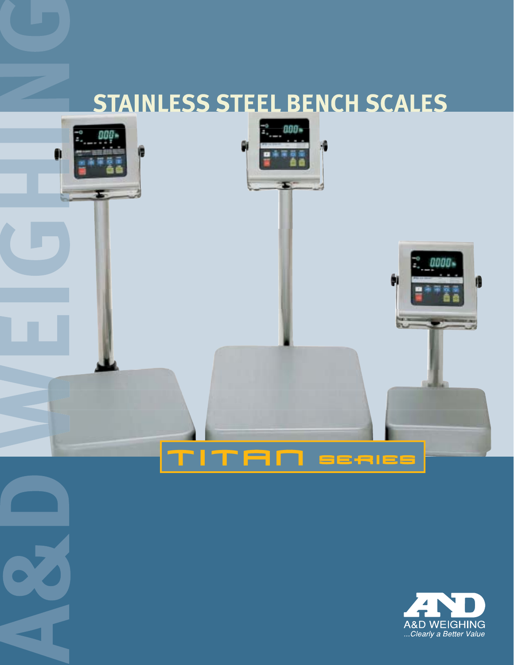# **STAINLESS STEEL BENCH SCALES**



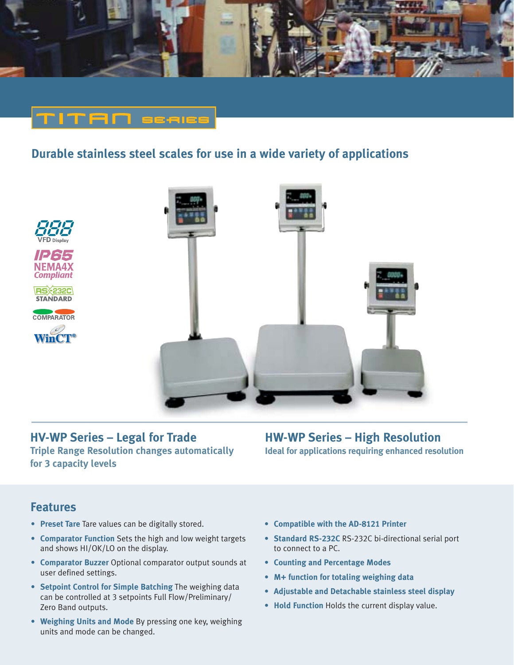

# **NITAN** esaise

## **Durable stainless steel scales for use in a wide variety of applications**



#### **HV-WP Series – Legal for Trade Triple Range Resolution changes automatically for 3 capacity levels**

#### **HW-WP Series – High Resolution Ideal for applications requiring enhanced resolution**

#### **Features**

- **Preset Tare** Tare values can be digitally stored.
- **Comparator Function** Sets the high and low weight targets and shows HI/OK/LO on the display.
- **Comparator Buzzer** Optional comparator output sounds at user defined settings.
- **Setpoint Control for Simple Batching** The weighing data can be controlled at 3 setpoints Full Flow/Preliminary/ Zero Band outputs.
- **Weighing Units and Mode** By pressing one key, weighing units and mode can be changed.
- **Compatible with the AD-8121 Printer**
- **Standard RS-232C** RS-232C bi-directional serial port to connect to a PC.
- **Counting and Percentage Modes**
- **M+ function for totaling weighing data**
- **Adjustable and Detachable stainless steel display**
- **Hold Function** Holds the current display value.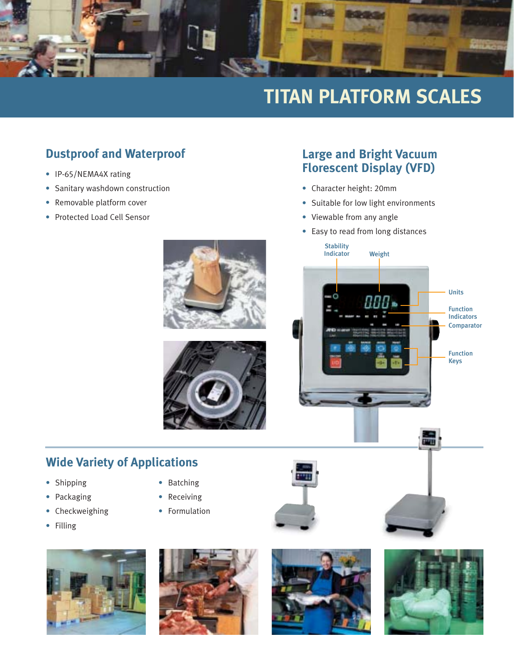

# **TITAN PLATFORM SCALES**

# **Dustproof and Waterproof**

- IP-65/NEMA4X rating
- Sanitary washdown construction
- Removable platform cover
- Protected Load Cell Sensor

## **Large and Bright Vacuum Florescent Display (VFD)**

- Character height: 20mm
- Suitable for low light environments
- Viewable from any angle

**Stability** 

• Easy to read from long distances

ппп.

Indicator Weight





# **Wide Variety of Applications**

- Shipping Batching
- Packaging  **Receiving**
- Checkweighing Formulation
- Filling
- 
- 
- 





品

Function Indicators

**Comparator** 

Function Keys

Units